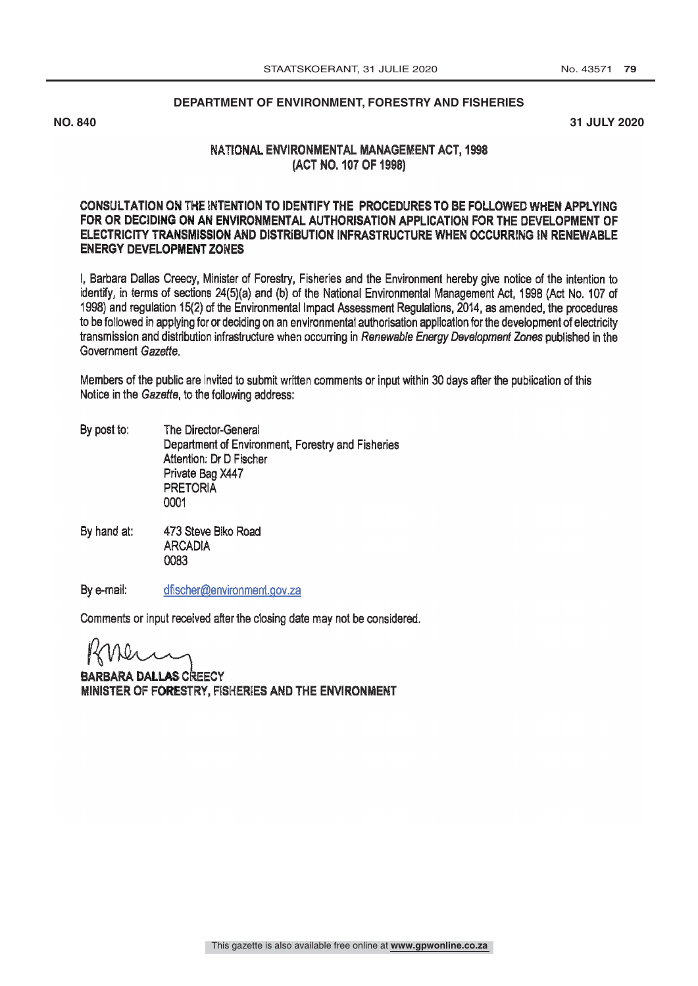### **DEPARTMENT OF ENVIRONMENT, FORESTRY AND FISHERIES**

**NO. 840 31 JULY 2020**

### NATIONAL ENVIRONMENTAL MANAGEMENT ACT, 1998 (ACT NO. 107 OF 1998)

### CONSULTATION ON THE INTENTION TO IDENTIFY THE PROCEDURES TO BE FOLLOWED WHEN APPLYING 9d i FOR OR DECIDING ON AN ENVIRONMENTAL AUTHORISATION APPLICATION FOR THE DEVELOPMENT OF ELECTRICITY TRANSMISSION AND DISTRIBUTION INFRASTRUCTURE WHEN OCCURRING IN RENEWABLE ENERGY DEVELOPMENT ZONES

I, Barbara Dallas Creecy, Minister of Forestry, Fisheries and the Environment hereby give notice of the intention to identify, in terms of sections 24(5)(a) and (b) of the National Environmental Management Act, 1998 (Act No. 107 of 1998) and regulation 15(2) of the Environmental Impact Assessment Regulations, 2014, as amended, the procedures to be followed in applying for or deciding on an environmental authorisation application for the development of electricity transmission and distribution infrastructure when occurring in Renewable Energy Development Zones published in the Government Gazette.

Members of the public are invited to submit written comments or input within 30 days after the publication of this Notice in the Gazette, to the following address:

- By post to: The Director -General Department of Environment, Forestry and Fisheries Attention: Dr D Fischer Private Bag X447 PRETORIA 0001
- 473 Steve Biko Road By hand at: **ARCADIA** 0083

By e-mail: dfischer@environment.gov.za

Comments or input received after the closing date may not be considered.

BARBARA DALLAS CREECY MINISTER OF FORESTRY, FISHERIES AND THE ENVIRONMENT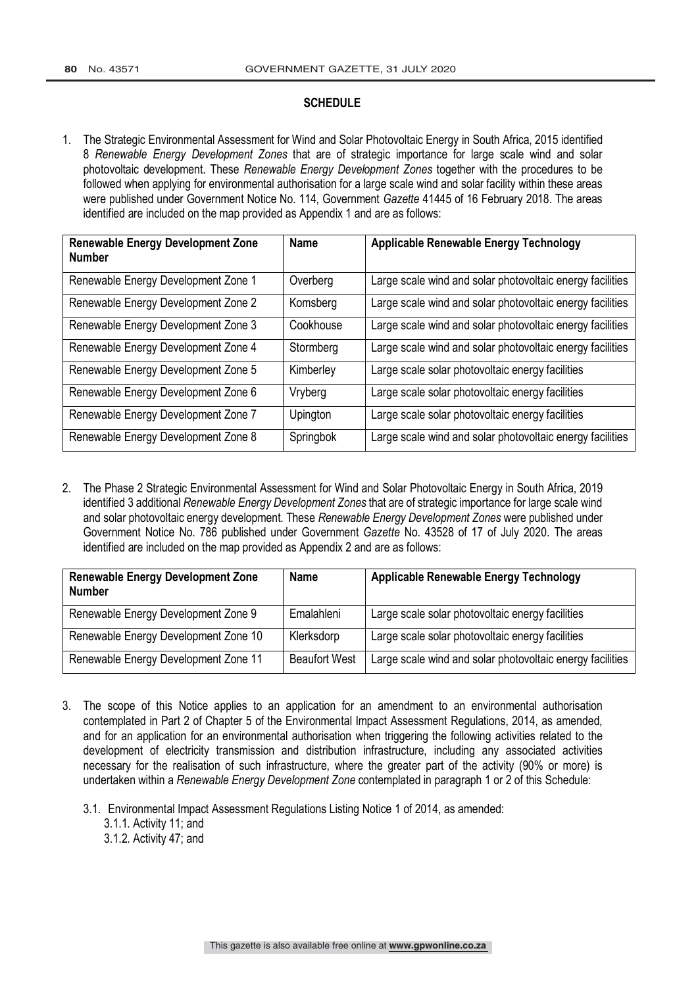#### **SCHEDULE**

1. The Strategic Environmental Assessment for Wind and Solar Photovoltaic Energy in South Africa, 2015 identified 8 *Renewable Energy Development Zones* that are of strategic importance for large scale wind and solar photovoltaic development. These *Renewable Energy Development Zones* together with the procedures to be followed when applying for environmental authorisation for a large scale wind and solar facility within these areas were published under Government Notice No. 114, Government *Gazette* 41445 of 16 February 2018. The areas identified are included on the map provided as Appendix 1 and are as follows:

| <b>Renewable Energy Development Zone</b><br><b>Number</b> | <b>Name</b> | <b>Applicable Renewable Energy Technology</b>             |
|-----------------------------------------------------------|-------------|-----------------------------------------------------------|
| Renewable Energy Development Zone 1                       | Overberg    | Large scale wind and solar photovoltaic energy facilities |
| Renewable Energy Development Zone 2                       | Komsberg    | Large scale wind and solar photovoltaic energy facilities |
| Renewable Energy Development Zone 3                       | Cookhouse   | Large scale wind and solar photovoltaic energy facilities |
| Renewable Energy Development Zone 4                       | Stormberg   | Large scale wind and solar photovoltaic energy facilities |
| Renewable Energy Development Zone 5                       | Kimberley   | Large scale solar photovoltaic energy facilities          |
| Renewable Energy Development Zone 6                       | Vryberg     | Large scale solar photovoltaic energy facilities          |
| Renewable Energy Development Zone 7                       | Upington    | Large scale solar photovoltaic energy facilities          |
| Renewable Energy Development Zone 8                       | Springbok   | Large scale wind and solar photovoltaic energy facilities |

2. The Phase 2 Strategic Environmental Assessment for Wind and Solar Photovoltaic Energy in South Africa, 2019 identified 3 additional *Renewable Energy Development Zones* that are of strategic importance for large scale wind and solar photovoltaic energy development. These *Renewable Energy Development Zones* were published under Government Notice No. 786 published under Government *Gazette* No. 43528 of 17 of July 2020. The areas identified are included on the map provided as Appendix 2 and are as follows:

| <b>Renewable Energy Development Zone</b><br><b>Number</b> | <b>Name</b>          | <b>Applicable Renewable Energy Technology</b>             |
|-----------------------------------------------------------|----------------------|-----------------------------------------------------------|
| Renewable Energy Development Zone 9                       | Emalahleni           | Large scale solar photovoltaic energy facilities          |
| Renewable Energy Development Zone 10                      | Klerksdorp           | Large scale solar photovoltaic energy facilities          |
| Renewable Energy Development Zone 11                      | <b>Beaufort West</b> | Large scale wind and solar photovoltaic energy facilities |

- 3. The scope of this Notice applies to an application for an amendment to an environmental authorisation contemplated in Part 2 of Chapter 5 of the Environmental Impact Assessment Regulations, 2014, as amended, and for an application for an environmental authorisation when triggering the following activities related to the development of electricity transmission and distribution infrastructure, including any associated activities necessary for the realisation of such infrastructure, where the greater part of the activity (90% or more) is undertaken within a *Renewable Energy Development Zone* contemplated in paragraph 1 or 2 of this Schedule:
	- 3.1. Environmental Impact Assessment Regulations Listing Notice 1 of 2014, as amended:
		- 3.1.1. Activity 11; and
		- 3.1.2. Activity 47; and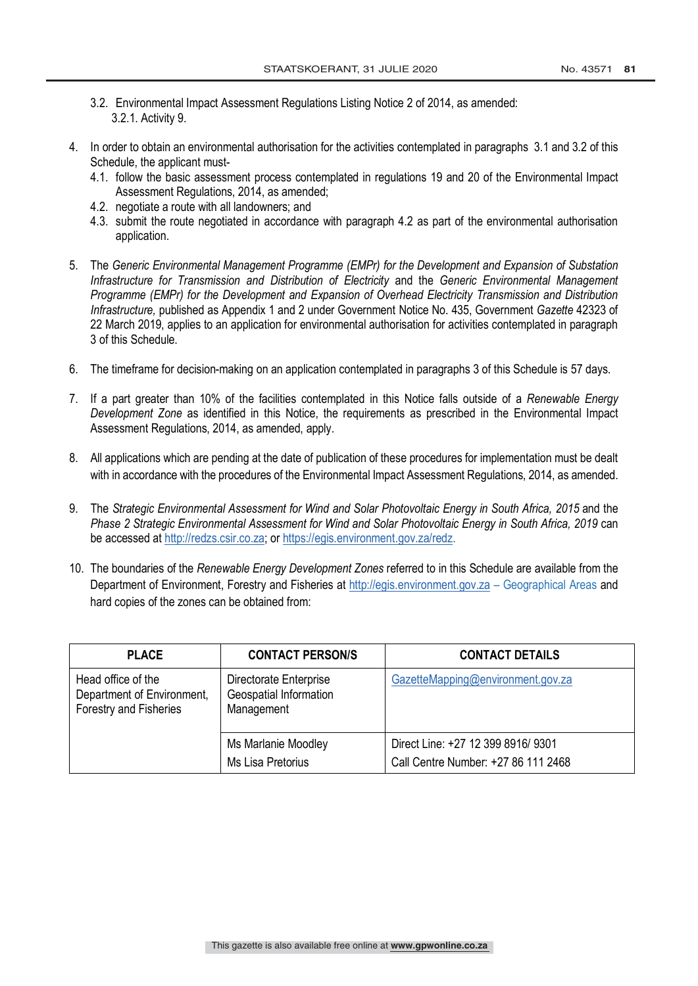- 3.2. Environmental Impact Assessment Regulations Listing Notice 2 of 2014, as amended: 3.2.1. Activity 9.
- 4. In order to obtain an environmental authorisation for the activities contemplated in paragraphs 3.1 and 3.2 of this Schedule, the applicant must-
	- 4.1. follow the basic assessment process contemplated in regulations 19 and 20 of the Environmental Impact Assessment Regulations, 2014, as amended;
	- 4.2. negotiate a route with all landowners; and
	- 4.3. submit the route negotiated in accordance with paragraph 4.2 as part of the environmental authorisation application.
- 5. The *Generic Environmental Management Programme (EMPr) for the Development and Expansion of Substation Infrastructure for Transmission and Distribution of Electricity* and the *Generic Environmental Management Programme (EMPr) for the Development and Expansion of Overhead Electricity Transmission and Distribution Infrastructure,* published as Appendix 1 and 2 under Government Notice No. 435, Government *Gazette* 42323 of 22 March 2019, applies to an application for environmental authorisation for activities contemplated in paragraph 3 of this Schedule.
- 6. The timeframe for decision-making on an application contemplated in paragraphs 3 of this Schedule is 57 days.
- 7. If a part greater than 10% of the facilities contemplated in this Notice falls outside of a *Renewable Energy Development Zone* as identified in this Notice, the requirements as prescribed in the Environmental Impact Assessment Regulations, 2014, as amended, apply.
- 8. All applications which are pending at the date of publication of these procedures for implementation must be dealt with in accordance with the procedures of the Environmental Impact Assessment Regulations, 2014, as amended.
- 9. The *Strategic Environmental Assessment for Wind and Solar Photovoltaic Energy in South Africa, 2015* and the *Phase 2 Strategic Environmental Assessment for Wind and Solar Photovoltaic Energy in South Africa, 2019* can be accessed at http://redzs.csir.co.za; or https://egis.environment.gov.za/redz.
- 10. The boundaries of the *Renewable Energy Development Zones* referred to in this Schedule are available from the Department of Environment, Forestry and Fisheries at http://egis.environment.gov.za – Geographical Areas and hard copies of the zones can be obtained from:

| <b>PLACE</b>                                                               | <b>CONTACT PERSON/S</b>                                        | <b>CONTACT DETAILS</b>              |
|----------------------------------------------------------------------------|----------------------------------------------------------------|-------------------------------------|
| Head office of the<br>Department of Environment,<br>Forestry and Fisheries | Directorate Enterprise<br>Geospatial Information<br>Management | GazetteMapping@environment.gov.za   |
|                                                                            | Ms Marlanie Moodley                                            | Direct Line: +27 12 399 8916/ 9301  |
|                                                                            | Ms Lisa Pretorius                                              | Call Centre Number: +27 86 111 2468 |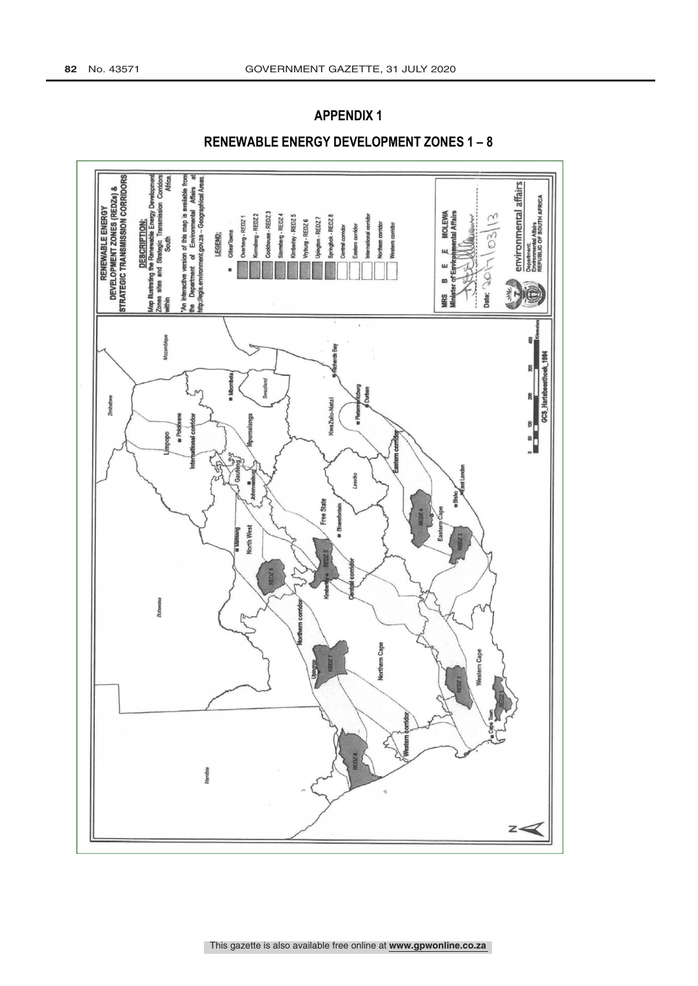# **APPENDIX1**



## RENEWABLE ENERGY DEVELOPMENT ZONES 1-8